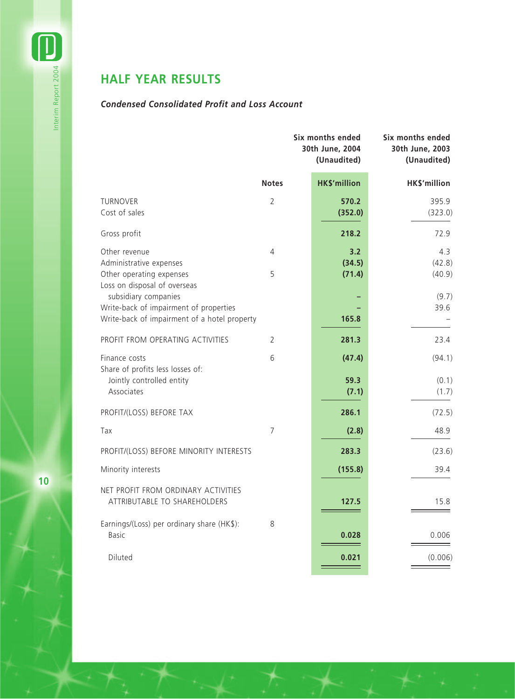# **HALF YEAR RESULTS**

# *Condensed Consolidated Profit and Loss Account*

|                                                                                                                                                | Six months ended<br>30th June, 2004<br>(Unaudited) | Six months ended<br>30th June, 2003<br>(Unaudited) |
|------------------------------------------------------------------------------------------------------------------------------------------------|----------------------------------------------------|----------------------------------------------------|
| <b>Notes</b>                                                                                                                                   | <b>HK\$'million</b>                                | HK\$'million                                       |
| <b>TURNOVER</b><br>2<br>Cost of sales                                                                                                          | 570.2<br>(352.0)                                   | 395.9<br>(323.0)                                   |
| Gross profit                                                                                                                                   | 218.2                                              | 72.9                                               |
| Other revenue<br>4<br>Administrative expenses<br>5<br>Other operating expenses                                                                 | 3.2<br>(34.5)<br>(71.4)                            | 4.3<br>(42.8)<br>(40.9)                            |
| Loss on disposal of overseas<br>subsidiary companies<br>Write-back of impairment of properties<br>Write-back of impairment of a hotel property | 165.8                                              | (9.7)<br>39.6                                      |
| PROFIT FROM OPERATING ACTIVITIES<br>2                                                                                                          | 281.3                                              | 23.4                                               |
| 6<br>Finance costs<br>Share of profits less losses of:<br>Jointly controlled entity<br>Associates                                              | (47.4)<br>59.3<br>(7.1)                            | (94.1)<br>(0.1)<br>(1.7)                           |
| PROFIT/(LOSS) BEFORE TAX                                                                                                                       | 286.1                                              | (72.5)                                             |
| $\overline{7}$<br>Tax                                                                                                                          | (2.8)                                              | 48.9                                               |
| PROFIT/(LOSS) BEFORE MINORITY INTERESTS                                                                                                        | 283.3                                              | (23.6)                                             |
| Minority interests                                                                                                                             | (155.8)                                            | 39.4                                               |
| NET PROFIT FROM ORDINARY ACTIVITIES<br>ATTRIBUTABLE TO SHAREHOLDERS                                                                            | 127.5                                              | 15.8                                               |
| Earnings/(Loss) per ordinary share (HK\$):<br>8<br><b>Basic</b>                                                                                | 0.028                                              | 0.006                                              |
| Diluted                                                                                                                                        | 0.021                                              | (0.006)                                            |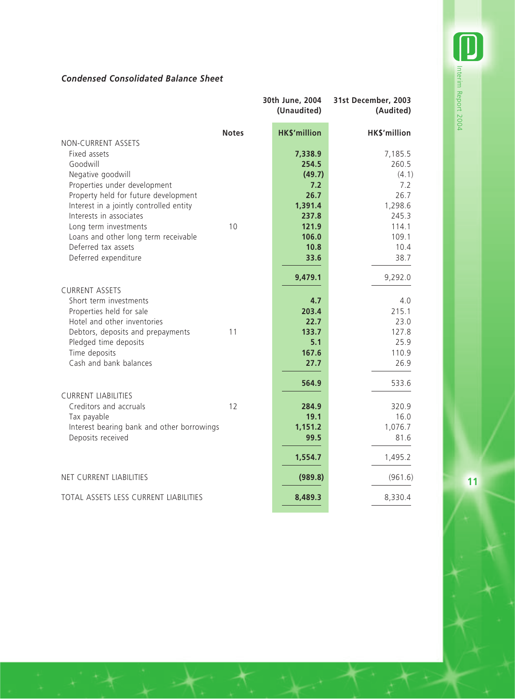**All Interim Report 2004** Interim Report 2004

# *Condensed Consolidated Balance Sheet*

|                                                                    | 30th June, 2004<br>(Unaudited) | 31st December, 2003<br>(Audited) |
|--------------------------------------------------------------------|--------------------------------|----------------------------------|
| <b>Notes</b>                                                       | <b>HK\$'million</b>            | HK\$'million                     |
| NON-CURRENT ASSETS                                                 |                                |                                  |
| Fixed assets                                                       | 7,338.9                        | 7,185.5                          |
| Goodwill                                                           | 254.5                          | 260.5                            |
| Negative goodwill                                                  | (49.7)                         | (4.1)                            |
| Properties under development                                       | 7.2                            | 7.2                              |
| Property held for future development                               | 26.7<br>1,391.4                | 26.7                             |
| Interest in a jointly controlled entity<br>Interests in associates | 237.8                          | 1,298.6<br>245.3                 |
| Long term investments<br>10                                        | 121.9                          | 114.1                            |
| Loans and other long term receivable                               | 106.0                          | 109.1                            |
| Deferred tax assets                                                | 10.8                           | 10.4                             |
| Deferred expenditure                                               | 33.6                           | 38.7                             |
|                                                                    | 9,479.1                        | 9,292.0                          |
| <b>CURRENT ASSETS</b>                                              |                                |                                  |
| Short term investments                                             | 4.7                            | 4.0                              |
| Properties held for sale                                           | 203.4                          | 215.1                            |
| Hotel and other inventories                                        | 22.7                           | 23.0                             |
| Debtors, deposits and prepayments<br>11                            | 133.7                          | 127.8                            |
| Pledged time deposits                                              | 5.1                            | 25.9                             |
| Time deposits                                                      | 167.6                          | 110.9                            |
| Cash and bank balances                                             | 27.7                           | 26.9                             |
|                                                                    | 564.9                          | 533.6                            |
| <b>CURRENT LIABILITIES</b><br>Creditors and accruals<br>12         | 284.9                          | 320.9                            |
| Tax payable                                                        | 19.1                           | 16.0                             |
| Interest bearing bank and other borrowings                         | 1,151.2                        | 1,076.7                          |
| Deposits received                                                  | 99.5                           | 81.6                             |
|                                                                    | 1,554.7                        | 1,495.2                          |
| NET CURRENT LIABILITIES                                            | (989.8)                        | (961.6)                          |
| TOTAL ASSETS LESS CURRENT LIABILITIES                              | 8,489.3                        | 8,330.4                          |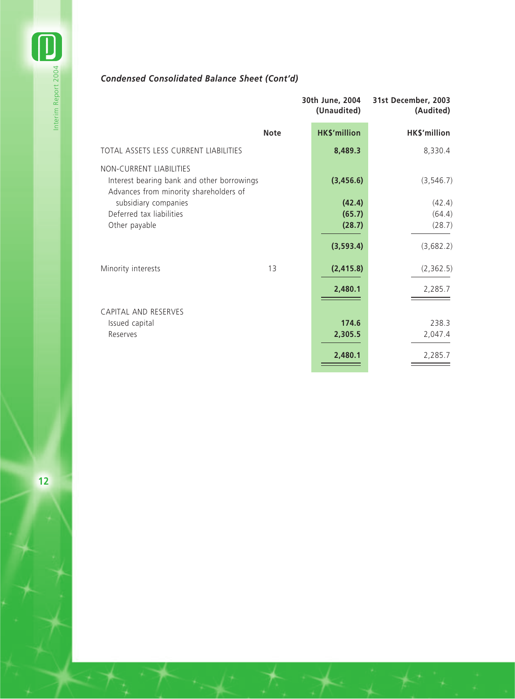# *Condensed Consolidated Balance Sheet (Cont'd)*

|                                                                                                                 |             | 30th June, 2004<br>(Unaudited) | 31st December, 2003<br>(Audited) |
|-----------------------------------------------------------------------------------------------------------------|-------------|--------------------------------|----------------------------------|
|                                                                                                                 | <b>Note</b> | <b>HK\$'million</b>            | HK\$'million                     |
| TOTAL ASSETS LESS CURRENT LIABILITIES                                                                           |             | 8,489.3                        | 8,330.4                          |
| NON-CURRENT LIABILITIES<br>Interest bearing bank and other borrowings<br>Advances from minority shareholders of |             | (3,456.6)                      | (3, 546.7)                       |
| subsidiary companies                                                                                            |             | (42.4)                         | (42.4)                           |
| Deferred tax liabilities                                                                                        |             | (65.7)                         | (64.4)                           |
| Other payable                                                                                                   |             | (28.7)                         | (28.7)                           |
|                                                                                                                 |             | (3, 593.4)                     | (3,682.2)                        |
| Minority interests                                                                                              | 13          | (2, 415.8)                     | (2,362.5)                        |
|                                                                                                                 |             | 2,480.1                        | 2,285.7                          |
| CAPITAL AND RESERVES                                                                                            |             |                                |                                  |
| Issued capital                                                                                                  |             | 174.6                          | 238.3                            |
| Reserves                                                                                                        |             | 2,305.5                        | 2,047.4                          |
|                                                                                                                 |             | 2,480.1                        | 2,285.7                          |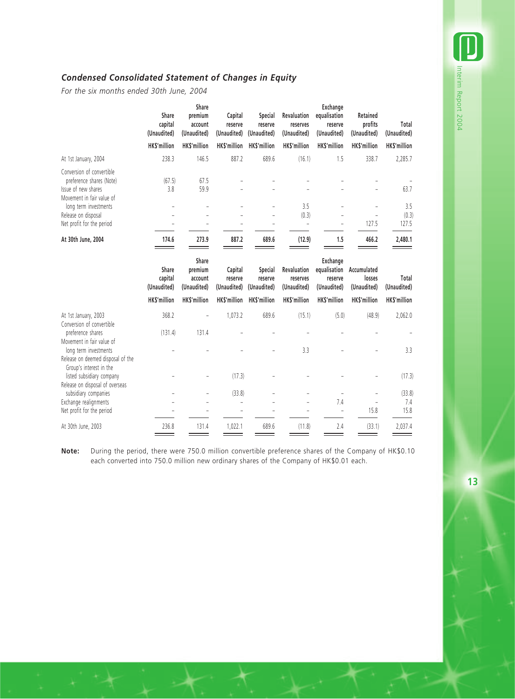## *Condensed Consolidated Statement of Changes in Equity*

*For the six months ended 30th June, 2004*

|                                                                                                           | Share<br>capital<br>(Unaudited) | Share<br>premium<br>account<br>(Unaudited) | Capital<br>reserve<br>(Unaudited) | Special<br>reserve<br>(Unaudited) | Revaluation<br>reserves<br>(Unaudited)   | Exchange<br>equalisation<br>reserve<br>(Unaudited)        | Retained<br>profits<br>(Unaudited)   | Total<br>(Unaudited)  |
|-----------------------------------------------------------------------------------------------------------|---------------------------------|--------------------------------------------|-----------------------------------|-----------------------------------|------------------------------------------|-----------------------------------------------------------|--------------------------------------|-----------------------|
|                                                                                                           | HK\$'million                    | <b>HKS'million</b>                         | HK\$'million                      | HK\$'million                      | HK\$'million                             | HK\$'million                                              | HK\$'million                         | HK\$'million          |
| At 1st January, 2004                                                                                      | 238.3                           | 146.5                                      | 887.2                             | 689.6                             | (16.1)                                   | 1.5                                                       | 338.7                                | 2,285.7               |
| Conversion of convertible<br>preference shares (Note)<br>Issue of new shares<br>Movement in fair value of | (67.5)<br>3.8                   | 67.5<br>59.9                               |                                   |                                   |                                          |                                                           |                                      | 63.7                  |
| long term investments<br>Release on disposal<br>Net profit for the period                                 |                                 |                                            |                                   |                                   | 3.5<br>(0.3)<br>$\overline{\phantom{0}}$ | L                                                         | 127.5                                | 3.5<br>(0.3)<br>127.5 |
| At 30th June, 2004                                                                                        | 174.6                           | 273.9                                      | 887.2                             | 689.6                             | (12.9)                                   | 1.5                                                       | 466.2                                | 2,480.1               |
|                                                                                                           | Share<br>capital<br>(Unaudited) | Share<br>premium<br>account<br>(Unaudited) | Capital<br>reserve<br>(Unaudited) | Special<br>reserve<br>(Unaudited) | Revaluation<br>reserves<br>(Unaudited)   | <b>Exchange</b><br>equalisation<br>reserve<br>(Unaudited) | Accumulated<br>losses<br>(Unaudited) | Total<br>(Unaudited)  |
|                                                                                                           | <b>HKS'million</b>              | <b>HKS'million</b>                         | <b>HKS'million</b>                | <b>HKS'million</b>                | HK\$'million                             | <b>HKS'million</b>                                        | <b>HKS'million</b>                   | HK\$'million          |
| At 1st January, 2003<br>Conversion of convertible                                                         | 368.2                           |                                            | 1,073.2                           | 689.6                             | (15.1)                                   | (5.0)                                                     | (48.9)                               | 2,062.0               |
| preference shares                                                                                         | (131.4)                         | 131.4                                      |                                   |                                   |                                          |                                                           |                                      |                       |
| Movement in fair value of<br>long term investments<br>Release on deemed disposal of the                   |                                 |                                            |                                   |                                   | 3.3                                      |                                                           |                                      | 3.3                   |
| Group's interest in the<br>listed subsidiary company<br>Release on disposal of overseas                   |                                 |                                            | (17.3)                            |                                   |                                          |                                                           |                                      | (17.3)                |
| subsidiary companies<br>Exchange realignments<br>Net profit for the period                                |                                 |                                            | (33.8)                            |                                   |                                          | ÷,<br>7.4<br>L.                                           | $\overline{\phantom{m}}$<br>15.8     | (33.8)<br>7.4<br>15.8 |
| At 30th June, 2003                                                                                        | 236.8                           | 131.4                                      | 1,022.1                           | 689.6                             | (11.8)                                   | 2.4                                                       | (33.1)                               | 2,037.4               |

**Note:** During the period, there were 750.0 million convertible preference shares of the Company of HK\$0.10 each converted into 750.0 million new ordinary shares of the Company of HK\$0.01 each.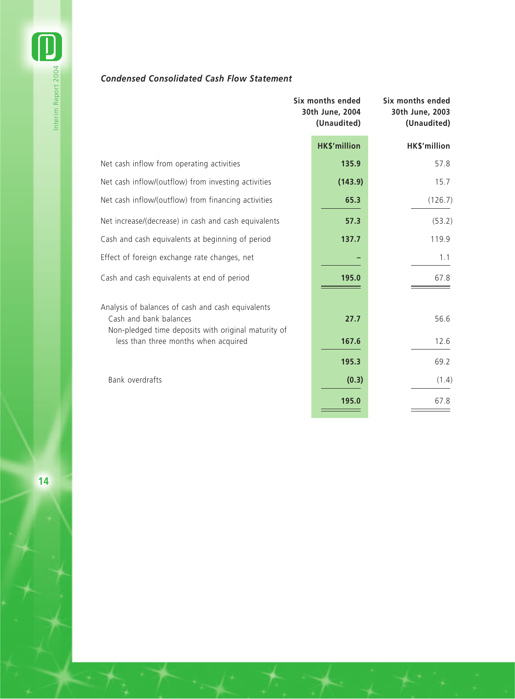# *Condensed Consolidated Cash Flow Statement*

|                                                                                                                                                                            | Six months ended<br>30th June, 2004<br>(Unaudited) | Six months ended<br>30th June, 2003<br>(Unaudited) |
|----------------------------------------------------------------------------------------------------------------------------------------------------------------------------|----------------------------------------------------|----------------------------------------------------|
|                                                                                                                                                                            | <b>HK\$'million</b>                                | HK\$'million                                       |
| Net cash inflow from operating activities                                                                                                                                  | 135.9                                              | 57.8                                               |
| Net cash inflow/(outflow) from investing activities                                                                                                                        | (143.9)                                            | 15.7                                               |
| Net cash inflow/(outflow) from financing activities                                                                                                                        | 65.3                                               | (126.7)                                            |
| Net increase/(decrease) in cash and cash equivalents                                                                                                                       | 57.3                                               | (53.2)                                             |
| Cash and cash equivalents at beginning of period                                                                                                                           | 137.7                                              | 119.9                                              |
| Effect of foreign exchange rate changes, net                                                                                                                               |                                                    | 1.1                                                |
| Cash and cash equivalents at end of period                                                                                                                                 | 195.0                                              | 67.8                                               |
| Analysis of balances of cash and cash equivalents<br>Cash and bank balances<br>Non-pledged time deposits with original maturity of<br>less than three months when acquired | 27.7<br>167.6                                      | 56.6<br>12.6                                       |
|                                                                                                                                                                            | 195.3                                              | 69.2                                               |
| Bank overdrafts                                                                                                                                                            | (0.3)                                              | (1.4)                                              |
|                                                                                                                                                                            | 195.0                                              | 67.8                                               |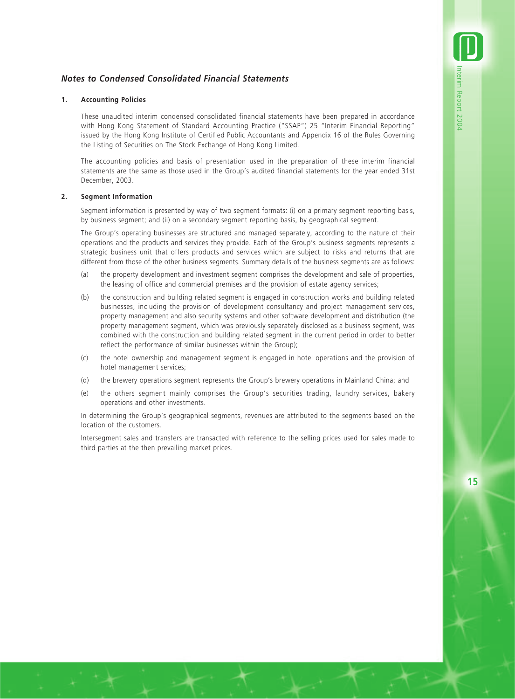## *Notes to Condensed Consolidated Financial Statements*

#### **1. Accounting Policies**

These unaudited interim condensed consolidated financial statements have been prepared in accordance with Hong Kong Statement of Standard Accounting Practice ("SSAP") 25 "Interim Financial Reporting" issued by the Hong Kong Institute of Certified Public Accountants and Appendix 16 of the Rules Governing the Listing of Securities on The Stock Exchange of Hong Kong Limited.

The accounting policies and basis of presentation used in the preparation of these interim financial statements are the same as those used in the Group's audited financial statements for the year ended 31st December, 2003.

#### **2. Segment Information**

Segment information is presented by way of two segment formats: (i) on a primary segment reporting basis, by business segment; and (ii) on a secondary segment reporting basis, by geographical segment.

The Group's operating businesses are structured and managed separately, according to the nature of their operations and the products and services they provide. Each of the Group's business segments represents a strategic business unit that offers products and services which are subject to risks and returns that are different from those of the other business segments. Summary details of the business segments are as follows:

- (a) the property development and investment segment comprises the development and sale of properties, the leasing of office and commercial premises and the provision of estate agency services;
- (b) the construction and building related segment is engaged in construction works and building related businesses, including the provision of development consultancy and project management services, property management and also security systems and other software development and distribution (the property management segment, which was previously separately disclosed as a business segment, was combined with the construction and building related segment in the current period in order to better reflect the performance of similar businesses within the Group);
- (c) the hotel ownership and management segment is engaged in hotel operations and the provision of hotel management services;
- (d) the brewery operations segment represents the Group's brewery operations in Mainland China; and
- (e) the others segment mainly comprises the Group's securities trading, laundry services, bakery operations and other investments.

In determining the Group's geographical segments, revenues are attributed to the segments based on the location of the customers.

Intersegment sales and transfers are transacted with reference to the selling prices used for sales made to third parties at the then prevailing market prices.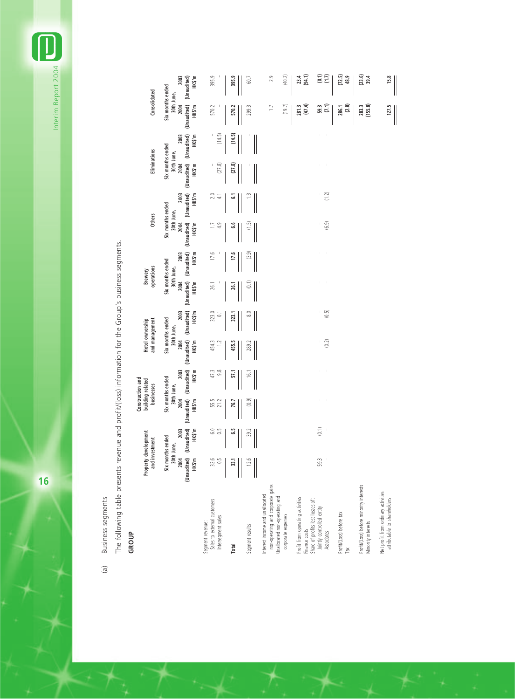Interim Report 2004 Interim Report 2004

> Business segments (a) Business segments  $\mathcal{L}$

The following table presents revenue and profit/(loss) information for the Group's business segments. The following table presents revenue and profit/(loss) information for the Group's business segments.

**GROUP**

|                                                                                                                            |                       | Property development<br>and investment |                       | Construction and<br>building related<br>businesses |                       | and management<br>Hotel ownership      |                      | operations<br>Brewery                  | <b>Others</b>                          |                       | Eliminations                           |        | Consolidated                           |                      |
|----------------------------------------------------------------------------------------------------------------------------|-----------------------|----------------------------------------|-----------------------|----------------------------------------------------|-----------------------|----------------------------------------|----------------------|----------------------------------------|----------------------------------------|-----------------------|----------------------------------------|--------|----------------------------------------|----------------------|
|                                                                                                                            | 2004                  | 2003<br>Six months ended<br>30th June, | 2004                  | 2003<br>Six months ended<br>30th June,             | 2004                  | 2003<br>Six months ended<br>30th June, | 2004                 | 2003<br>Six months ended<br>30th June, | Six months ended<br>30th June,<br>2004 | 2003                  | Six months ended<br>30th June,<br>2004 | 2003   | Six months ended<br>30th June,<br>2004 | 2003                 |
|                                                                                                                            | (Unaudited)<br>HK\$'m | (Unaudited)<br>HK\$'m                  | (Unaudited)<br>HK\$'m | (Unaudited)<br>HK\$'m                              | (Unaudited)<br>HK\$'m | (Unaudited)<br>HK\$'m                  | (Unaudited)<br>HKS'm | (Unaudited)<br>HK\$'m                  | (Unaudited)<br>HK\$'m                  | (Unaudited)<br>HK\$'m | (Unaudited) (Unaudited)<br>HKS'm       | HK\$'m | (Unaudited)<br>HK\$'m                  | HKS'm<br>(Unaudited) |
| Sales to external customers<br>Intersegment sales<br>Segment revenue:                                                      | $32.6$<br>0.5         | 6.0<br>$\frac{5}{2}$                   | 55.5<br>21.2          | 9.8<br>47.3                                        | 454.3<br>$\approx$    | 323.0<br>$\overline{c}$                | 26.1                 | 17.6                                   | 4.9                                    | 20<br>₩               | (27.8)                                 | (14.5) | 570.2                                  | 395.9                |
| Total                                                                                                                      | 33,1                  | 5.9                                    | 76.7                  | 57.1                                               | 455.5                 | 323.                                   | 26.                  | 17.6                                   | ಀ                                      | ی                     | (27.8)                                 | (14.5) | 570.2                                  | 395.9                |
| Segment results                                                                                                            | 12.6                  | 39.7                                   | (0.9)                 | $\frac{6}{1}$                                      | 289.                  | $\infty$                               | $\overline{5}$       | (3.9)                                  | (1.5)                                  |                       |                                        |        | 299.3                                  | $\overline{60}$      |
| non-operating and corporate gains<br>nterest income and unallocated<br>Unallocated non-operating and<br>corporate expenses |                       |                                        |                       |                                                    |                       |                                        |                      |                                        |                                        |                       |                                        |        | (19.7)<br>$\Box$                       | (40.2)<br>2.9        |
| Profit from operating activities<br>Share of profits less losses of:<br>Finance costs                                      |                       |                                        |                       |                                                    |                       |                                        |                      |                                        |                                        |                       |                                        |        | (47.4)<br>281.3                        | (94.1)<br>23.4       |
| Jointly controlled entity<br>Associates                                                                                    | 59.3                  | (0.1)<br>$\bar{1}$                     | $\mathcal{A}$<br>I,   | $\mathcal{A}$<br>J.                                | (0.2)<br>L.           | (0.5)<br>I.                            | J.<br>$\mathbf{I}$   | $\,$ 1<br>I.                           | (6.9)<br>$\mathsf I$                   | (1.2)<br>J.           | f,<br>J,                               |        | (7.1)<br>59.3                          | (0.1)<br>(1.7)       |
| Profit/(Loss) before tax<br>Tax                                                                                            |                       |                                        |                       |                                                    |                       |                                        |                      |                                        |                                        |                       |                                        |        | (2.8)<br>286.1                         | (72.5)<br>48.9       |
| Profit/(Loss) before minority interests<br>Minority interests                                                              |                       |                                        |                       |                                                    |                       |                                        |                      |                                        |                                        |                       |                                        |        | (155.8)<br>283.3                       | (23.6)<br>39.4       |
| Net profit from ordinary activities<br>attributable to shareholders                                                        |                       |                                        |                       |                                                    |                       |                                        |                      |                                        |                                        |                       |                                        |        | 127.5                                  | 15.8                 |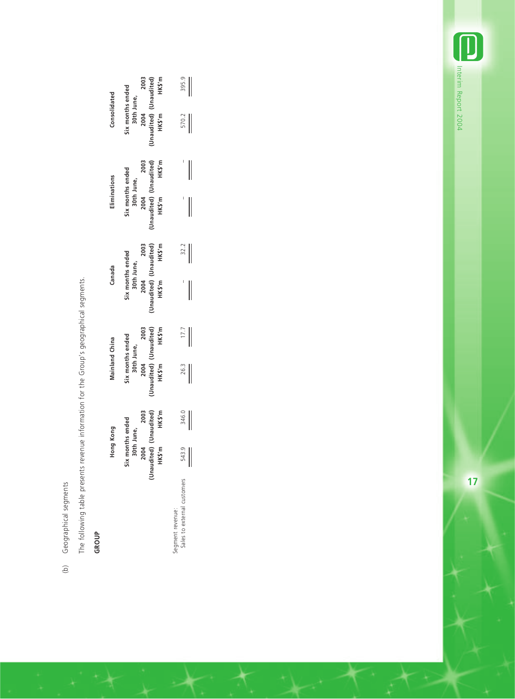| CANMAN<br>J<br>ļ                  | ٦ |
|-----------------------------------|---|
| Γ,<br>J                           |   |
| nonranon<br>こりワ<br>$\mathfrak{c}$ | ١ |
|                                   |   |

The following table presents revenue information for the Group's geographical segments. The following table presents revenue information for the Group's geographical segments.

# **GROUP**

 $\rightarrow$ 

| 395.9<br>570.2<br>HKS'm<br>32.2<br>Six months ended<br>30th June,<br>(Unaudited) (Unaudited)<br>HK\$'m<br>HK\$'m<br>17.7<br>$\begin{array}{c c}\n26.3 \\ \hline\n\end{array}$<br>naudited) (Unaudited)<br>346.0<br>HK\$'m<br>2004 2003<br>months ended<br>30th June,<br>(S'm)<br>543.9<br>$\overline{\phantom{a}}$ |                             |    | Hong Kong | Mainland China | Canada | Eliminations | Consolidated |        |
|--------------------------------------------------------------------------------------------------------------------------------------------------------------------------------------------------------------------------------------------------------------------------------------------------------------------|-----------------------------|----|-----------|----------------|--------|--------------|--------------|--------|
|                                                                                                                                                                                                                                                                                                                    |                             | šĭ |           |                |        |              |              |        |
|                                                                                                                                                                                                                                                                                                                    |                             |    |           |                |        |              |              | HK\$'m |
|                                                                                                                                                                                                                                                                                                                    | sales to external customers |    |           |                |        |              |              |        |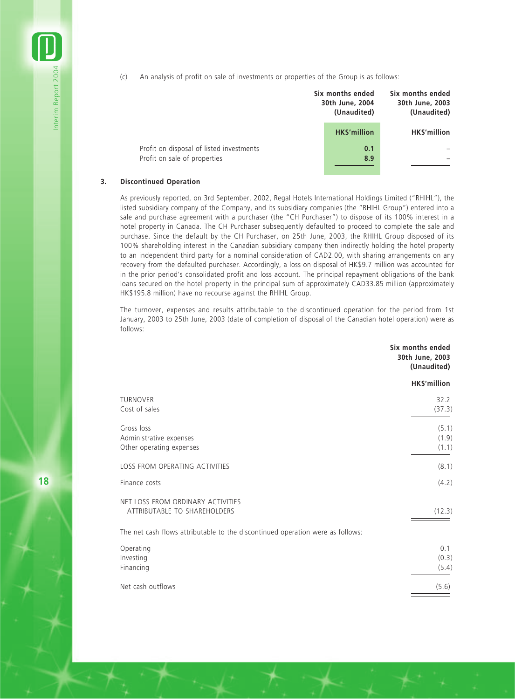(c) An analysis of profit on sale of investments or properties of the Group is as follows:

|                                                                          | Six months ended<br>30th June, 2004<br>(Unaudited) | Six months ended<br>30th June, 2003<br>(Unaudited) |
|--------------------------------------------------------------------------|----------------------------------------------------|----------------------------------------------------|
|                                                                          | <b>HK\$'million</b>                                | HK\$'million                                       |
| Profit on disposal of listed investments<br>Profit on sale of properties | 0.1<br>8.9                                         |                                                    |

#### **3. Discontinued Operation**

As previously reported, on 3rd September, 2002, Regal Hotels International Holdings Limited ("RHIHL"), the listed subsidiary company of the Company, and its subsidiary companies (the "RHIHL Group") entered into a sale and purchase agreement with a purchaser (the "CH Purchaser") to dispose of its 100% interest in a hotel property in Canada. The CH Purchaser subsequently defaulted to proceed to complete the sale and purchase. Since the default by the CH Purchaser, on 25th June, 2003, the RHIHL Group disposed of its 100% shareholding interest in the Canadian subsidiary company then indirectly holding the hotel property to an independent third party for a nominal consideration of CAD2.00, with sharing arrangements on any recovery from the defaulted purchaser. Accordingly, a loss on disposal of HK\$9.7 million was accounted for in the prior period's consolidated profit and loss account. The principal repayment obligations of the bank loans secured on the hotel property in the principal sum of approximately CAD33.85 million (approximately HK\$195.8 million) have no recourse against the RHIHL Group.

The turnover, expenses and results attributable to the discontinued operation for the period from 1st January, 2003 to 25th June, 2003 (date of completion of disposal of the Canadian hotel operation) were as follows:

|                                                                                | Six months ended<br>30th June, 2003<br>(Unaudited) |
|--------------------------------------------------------------------------------|----------------------------------------------------|
|                                                                                | HK\$'million                                       |
| TURNOVER<br>Cost of sales                                                      | 32.2<br>(37.3)                                     |
| Gross loss<br>Administrative expenses<br>Other operating expenses              | (5.1)<br>(1.9)<br>(1.1)                            |
| LOSS FROM OPERATING ACTIVITIES                                                 | (8.1)                                              |
| Finance costs                                                                  | (4.2)                                              |
| NET LOSS FROM ORDINARY ACTIVITIES<br>ATTRIBUTABLE TO SHAREHOLDERS              | (12.3)                                             |
| The net cash flows attributable to the discontinued operation were as follows: |                                                    |
| Operating<br>Investing<br>Financing                                            | 0.1<br>(0.3)<br>(5.4)                              |
| Net cash outflows                                                              | (5.6)                                              |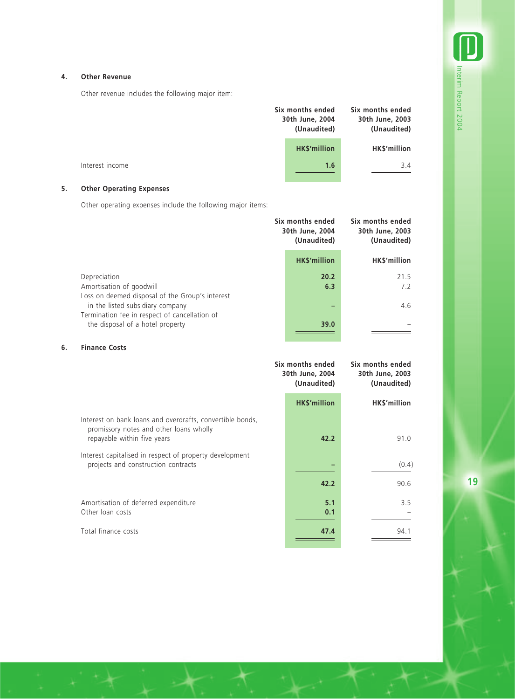#### **4. Other Revenue**

Other revenue includes the following major item:

|                 | Six months ended<br>30th June, 2004<br>(Unaudited) | Six months ended<br>30th June, 2003<br>(Unaudited) |
|-----------------|----------------------------------------------------|----------------------------------------------------|
|                 | <b>HK\$'million</b>                                | HK\$'million                                       |
| Interest income | 1.6                                                | 3.4                                                |

## **5. Other Operating Expenses**

Other operating expenses include the following major items:

|                                                                                             | Six months ended<br>30th June, 2004<br>(Unaudited) | Six months ended<br>30th June, 2003<br>(Unaudited) |
|---------------------------------------------------------------------------------------------|----------------------------------------------------|----------------------------------------------------|
|                                                                                             | <b>HK\$'million</b>                                | HK\$'million                                       |
| Depreciation<br>Amortisation of goodwill<br>Loss on deemed disposal of the Group's interest |                                                    | 21.5<br>20.2<br>7.2<br>6.3                         |
| in the listed subsidiary company                                                            |                                                    | 4.6                                                |
| Termination fee in respect of cancellation of<br>the disposal of a hotel property           |                                                    | 39.0                                               |

#### **6. Finance Costs**

|                                                                                                                                     | Six months ended<br>30th June, 2004<br>(Unaudited) | Six months ended<br>30th June, 2003<br>(Unaudited) |  |
|-------------------------------------------------------------------------------------------------------------------------------------|----------------------------------------------------|----------------------------------------------------|--|
|                                                                                                                                     | <b>HK\$'million</b>                                | HK\$'million                                       |  |
| Interest on bank loans and overdrafts, convertible bonds,<br>promissory notes and other loans wholly<br>repayable within five years | 42.2                                               | 91.0                                               |  |
| Interest capitalised in respect of property development<br>projects and construction contracts                                      |                                                    | (0.4)                                              |  |
|                                                                                                                                     | 42.2                                               | 90.6                                               |  |
| Amortisation of deferred expenditure<br>Other loan costs                                                                            | 5.1<br>0.1                                         | 3.5                                                |  |
| Total finance costs                                                                                                                 | 47.4                                               | 94.1                                               |  |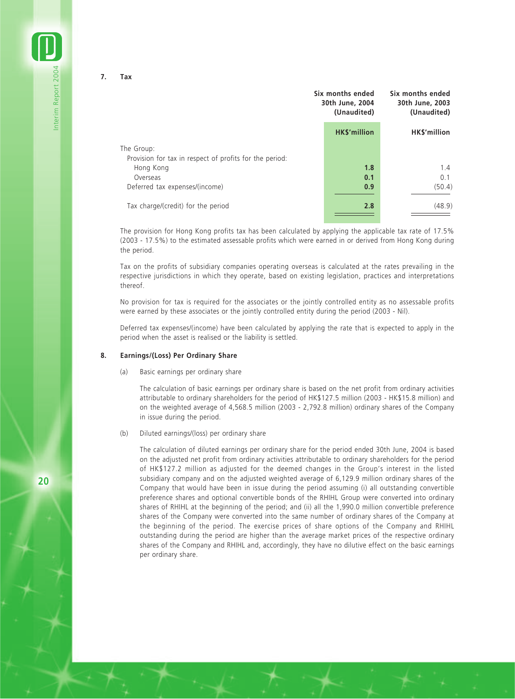**7. Tax**

Interim Report 2004

nterim Report 2004

|                                                                       | Six months ended<br>30th June, 2004<br>(Unaudited) |                    | Six months ended<br>30th June, 2003<br>(Unaudited) |
|-----------------------------------------------------------------------|----------------------------------------------------|--------------------|----------------------------------------------------|
|                                                                       |                                                    | <b>HKS'million</b> | <b>HKS'million</b>                                 |
| The Group:<br>Provision for tax in respect of profits for the period: |                                                    |                    |                                                    |
| Hong Kong<br>Overseas                                                 |                                                    | 1.8<br>0.1         | 1.4<br>0.1                                         |
| Deferred tax expenses/(income)                                        |                                                    | 0.9                | (50.4)                                             |
| Tax charge/(credit) for the period                                    |                                                    | 2.8                | (48.9)                                             |

The provision for Hong Kong profits tax has been calculated by applying the applicable tax rate of 17.5% (2003 - 17.5%) to the estimated assessable profits which were earned in or derived from Hong Kong during the period.

Tax on the profits of subsidiary companies operating overseas is calculated at the rates prevailing in the respective jurisdictions in which they operate, based on existing legislation, practices and interpretations thereof.

No provision for tax is required for the associates or the jointly controlled entity as no assessable profits were earned by these associates or the jointly controlled entity during the period (2003 - Nil).

Deferred tax expenses/(income) have been calculated by applying the rate that is expected to apply in the period when the asset is realised or the liability is settled.

#### **8. Earnings/(Loss) Per Ordinary Share**

(a) Basic earnings per ordinary share

The calculation of basic earnings per ordinary share is based on the net profit from ordinary activities attributable to ordinary shareholders for the period of HK\$127.5 million (2003 - HK\$15.8 million) and on the weighted average of 4,568.5 million (2003 - 2,792.8 million) ordinary shares of the Company in issue during the period.

(b) Diluted earnings/(loss) per ordinary share

The calculation of diluted earnings per ordinary share for the period ended 30th June, 2004 is based on the adjusted net profit from ordinary activities attributable to ordinary shareholders for the period of HK\$127.2 million as adjusted for the deemed changes in the Group's interest in the listed subsidiary company and on the adjusted weighted average of 6,129.9 million ordinary shares of the Company that would have been in issue during the period assuming (i) all outstanding convertible preference shares and optional convertible bonds of the RHIHL Group were converted into ordinary shares of RHIHL at the beginning of the period; and (ii) all the 1,990.0 million convertible preference shares of the Company were converted into the same number of ordinary shares of the Company at the beginning of the period. The exercise prices of share options of the Company and RHIHL outstanding during the period are higher than the average market prices of the respective ordinary shares of the Company and RHIHL and, accordingly, they have no dilutive effect on the basic earnings per ordinary share.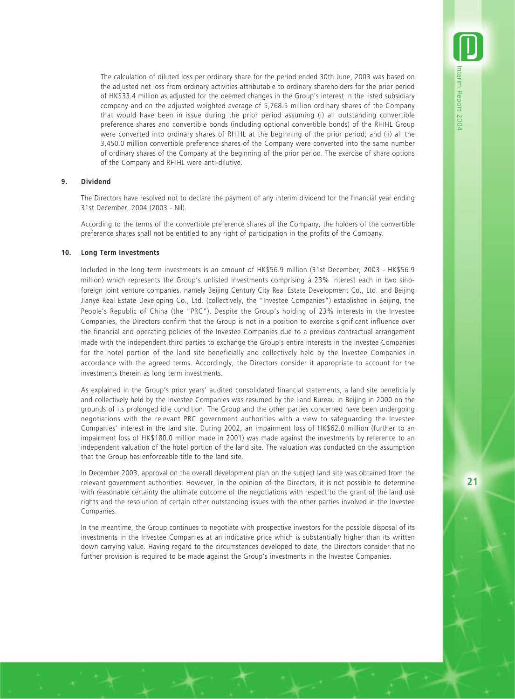The calculation of diluted loss per ordinary share for the period ended 30th June, 2003 was based on the adjusted net loss from ordinary activities attributable to ordinary shareholders for the prior period of HK\$33.4 million as adjusted for the deemed changes in the Group's interest in the listed subsidiary company and on the adjusted weighted average of 5,768.5 million ordinary shares of the Company that would have been in issue during the prior period assuming (i) all outstanding convertible preference shares and convertible bonds (including optional convertible bonds) of the RHIHL Group were converted into ordinary shares of RHIHL at the beginning of the prior period; and (ii) all the 3,450.0 million convertible preference shares of the Company were converted into the same number of ordinary shares of the Company at the beginning of the prior period. The exercise of share options of the Company and RHIHL were anti-dilutive.

#### **9. Dividend**

The Directors have resolved not to declare the payment of any interim dividend for the financial year ending 31st December, 2004 (2003 - Nil).

According to the terms of the convertible preference shares of the Company, the holders of the convertible preference shares shall not be entitled to any right of participation in the profits of the Company.

#### **10. Long Term Investments**

Included in the long term investments is an amount of HK\$56.9 million (31st December, 2003 - HK\$56.9 million) which represents the Group's unlisted investments comprising a 23% interest each in two sinoforeign joint venture companies, namely Beijing Century City Real Estate Development Co., Ltd. and Beijing Jianye Real Estate Developing Co., Ltd. (collectively, the "Investee Companies") established in Beijing, the People's Republic of China (the "PRC"). Despite the Group's holding of 23% interests in the Investee Companies, the Directors confirm that the Group is not in a position to exercise significant influence over the financial and operating policies of the Investee Companies due to a previous contractual arrangement made with the independent third parties to exchange the Group's entire interests in the Investee Companies for the hotel portion of the land site beneficially and collectively held by the Investee Companies in accordance with the agreed terms. Accordingly, the Directors consider it appropriate to account for the investments therein as long term investments.

As explained in the Group's prior years' audited consolidated financial statements, a land site beneficially and collectively held by the Investee Companies was resumed by the Land Bureau in Beijing in 2000 on the grounds of its prolonged idle condition. The Group and the other parties concerned have been undergoing negotiations with the relevant PRC government authorities with a view to safeguarding the Investee Companies' interest in the land site. During 2002, an impairment loss of HK\$62.0 million (further to an impairment loss of HK\$180.0 million made in 2001) was made against the investments by reference to an independent valuation of the hotel portion of the land site. The valuation was conducted on the assumption that the Group has enforceable title to the land site.

In December 2003, approval on the overall development plan on the subject land site was obtained from the relevant government authorities. However, in the opinion of the Directors, it is not possible to determine with reasonable certainty the ultimate outcome of the negotiations with respect to the grant of the land use rights and the resolution of certain other outstanding issues with the other parties involved in the Investee Companies.

In the meantime, the Group continues to negotiate with prospective investors for the possible disposal of its investments in the Investee Companies at an indicative price which is substantially higher than its written down carrying value. Having regard to the circumstances developed to date, the Directors consider that no further provision is required to be made against the Group's investments in the Investee Companies.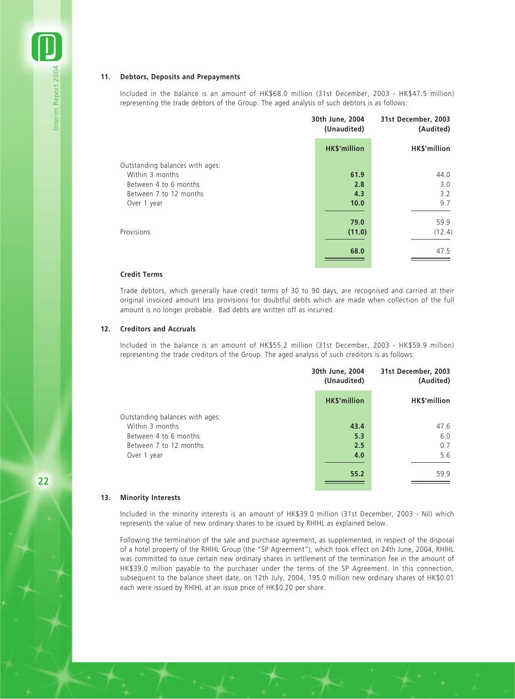#### **11. Debtors, Deposits and Prepayments**

Included in the balance is an amount of HK\$68.0 million (31st December, 2003 - HK\$47.5 million) representing the trade debtors of the Group. The aged analysis of such debtors is as follows:

|                                 | 30th June, 2004<br>(Unaudited) | 31st December, 2003<br>(Audited) |
|---------------------------------|--------------------------------|----------------------------------|
|                                 | <b>HK\$'million</b>            | HK\$'million                     |
| Outstanding balances with ages: |                                |                                  |
| Within 3 months                 | 61.9                           | 44.0                             |
| Between 4 to 6 months           | 2.8                            | 3.0                              |
| Between 7 to 12 months          | 4.3                            | 3.2                              |
| Over 1 year                     | 10.0                           | 9.7                              |
|                                 |                                |                                  |
|                                 | 79.0                           | 59.9                             |
| Provisions                      | (11.0)                         | (12.4)                           |
|                                 | 68.0                           | 47.5                             |

#### **Credit Terms**

Trade debtors, which generally have credit terms of 30 to 90 days, are recognised and carried at their original invoiced amount less provisions for doubtful debts which are made when collection of the full amount is no longer probable. Bad debts are written off as incurred.

#### **12. Creditors and Accruals**

Included in the balance is an amount of HK\$55.2 million (31st December, 2003 - HK\$59.9 million) representing the trade creditors of the Group. The aged analysis of such creditors is as follows:

|                                 | 30th June, 2004<br>(Unaudited) | 31st December, 2003<br>(Audited) |  |
|---------------------------------|--------------------------------|----------------------------------|--|
|                                 | <b>HK\$'million</b>            | HK\$'million                     |  |
| Outstanding balances with ages: |                                |                                  |  |
| Within 3 months                 | 43.4                           | 47.6                             |  |
| Between 4 to 6 months           | 5.3                            | 6.0                              |  |
| Between 7 to 12 months          | 2.5                            | 0.7                              |  |
| Over 1 year                     | 4.0                            | 5.6                              |  |
|                                 | 55.2                           | 59.9                             |  |

#### **13. Minority Interests**

Included in the minority interests is an amount of HK\$39.0 million (31st December, 2003 - Nil) which represents the value of new ordinary shares to be issued by RHIHL as explained below.

Following the termination of the sale and purchase agreement, as supplemented, in respect of the disposal of a hotel property of the RHIHL Group (the "SP Agreement"), which took effect on 24th June, 2004, RHIHL was committed to issue certain new ordinary shares in settlement of the termination fee in the amount of HK\$39.0 million payable to the purchaser under the terms of the SP Agreement. In this connection, subsequent to the balance sheet date, on 12th July, 2004, 195.0 million new ordinary shares of HK\$0.01 each were issued by RHIHL at an issue price of HK\$0.20 per share.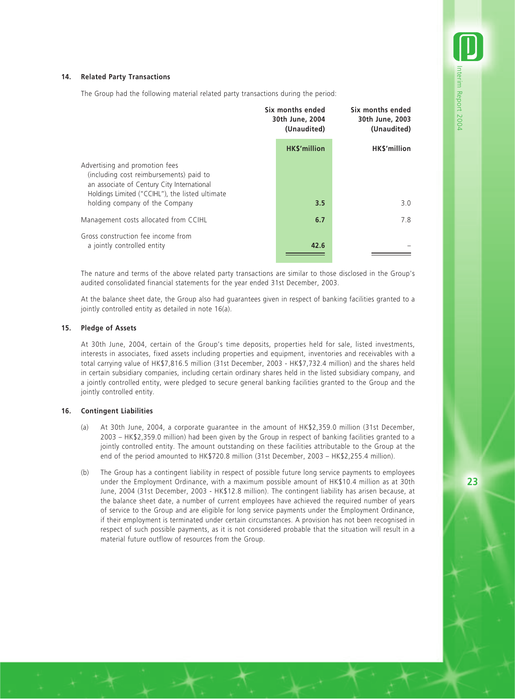#### **14. Related Party Transactions**

The Group had the following material related party transactions during the period:

|                                                                                                                                                                            | Six months ended<br>30th June, 2004<br>(Unaudited) | Six months ended<br>30th June, 2003<br>(Unaudited) |
|----------------------------------------------------------------------------------------------------------------------------------------------------------------------------|----------------------------------------------------|----------------------------------------------------|
|                                                                                                                                                                            | <b>HK\$'million</b>                                | <b>HKS'million</b>                                 |
| Advertising and promotion fees<br>(including cost reimbursements) paid to<br>an associate of Century City International<br>Holdings Limited ("CCIHL"), the listed ultimate |                                                    |                                                    |
| holding company of the Company                                                                                                                                             | 3.5                                                | 3.0                                                |
| Management costs allocated from CCIHL                                                                                                                                      | 6.7                                                | 7.8                                                |
| Gross construction fee income from<br>a jointly controlled entity                                                                                                          | 42.6                                               |                                                    |

The nature and terms of the above related party transactions are similar to those disclosed in the Group's audited consolidated financial statements for the year ended 31st December, 2003.

At the balance sheet date, the Group also had guarantees given in respect of banking facilities granted to a jointly controlled entity as detailed in note 16(a).

#### **15. Pledge of Assets**

At 30th June, 2004, certain of the Group's time deposits, properties held for sale, listed investments, interests in associates, fixed assets including properties and equipment, inventories and receivables with a total carrying value of HK\$7,816.5 million (31st December, 2003 - HK\$7,732.4 million) and the shares held in certain subsidiary companies, including certain ordinary shares held in the listed subsidiary company, and a jointly controlled entity, were pledged to secure general banking facilities granted to the Group and the jointly controlled entity.

#### **16. Contingent Liabilities**

- (a) At 30th June, 2004, a corporate guarantee in the amount of HK\$2,359.0 million (31st December, 2003 – HK\$2,359.0 million) had been given by the Group in respect of banking facilities granted to a jointly controlled entity. The amount outstanding on these facilities attributable to the Group at the end of the period amounted to HK\$720.8 million (31st December, 2003 – HK\$2,255.4 million).
- (b) The Group has a contingent liability in respect of possible future long service payments to employees under the Employment Ordinance, with a maximum possible amount of HK\$10.4 million as at 30th June, 2004 (31st December, 2003 - HK\$12.8 million). The contingent liability has arisen because, at the balance sheet date, a number of current employees have achieved the required number of years of service to the Group and are eligible for long service payments under the Employment Ordinance, if their employment is terminated under certain circumstances. A provision has not been recognised in respect of such possible payments, as it is not considered probable that the situation will result in a material future outflow of resources from the Group.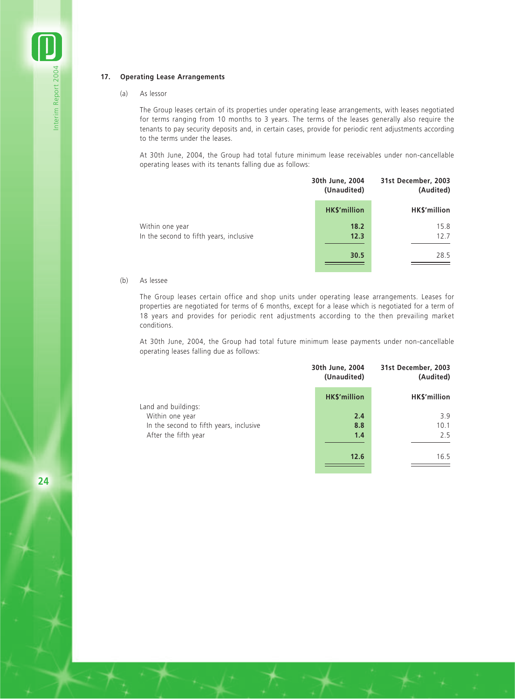#### **17. Operating Lease Arrangements**

#### (a) As lessor

Interim Report 2004

Interim Report 2004

The Group leases certain of its properties under operating lease arrangements, with leases negotiated for terms ranging from 10 months to 3 years. The terms of the leases generally also require the tenants to pay security deposits and, in certain cases, provide for periodic rent adjustments according to the terms under the leases.

At 30th June, 2004, the Group had total future minimum lease receivables under non-cancellable operating leases with its tenants falling due as follows:

|                                                            | 30th June, 2004<br>(Unaudited) | 31st December, 2003<br>(Audited) |
|------------------------------------------------------------|--------------------------------|----------------------------------|
|                                                            | <b>HK\$'million</b>            | HK\$'million                     |
| Within one year<br>In the second to fifth years, inclusive | 18.2<br>12.3                   | 15.8<br>12.7                     |
|                                                            | 30.5                           | 28.5                             |

#### (b) As lessee

The Group leases certain office and shop units under operating lease arrangements. Leases for properties are negotiated for terms of 6 months, except for a lease which is negotiated for a term of 18 years and provides for periodic rent adjustments according to the then prevailing market conditions.

At 30th June, 2004, the Group had total future minimum lease payments under non-cancellable operating leases falling due as follows:

|                                         | 30th June, 2004<br>(Unaudited) | 31st December, 2003<br>(Audited) |
|-----------------------------------------|--------------------------------|----------------------------------|
|                                         | <b>HK\$'million</b>            | HK\$'million                     |
| Land and buildings:                     |                                |                                  |
| Within one year                         | 2.4                            | 3.9                              |
| In the second to fifth years, inclusive | 8.8                            | 10.1                             |
| After the fifth year                    | 1.4                            | 2.5                              |
|                                         | 12.6                           | 16.5                             |
|                                         |                                |                                  |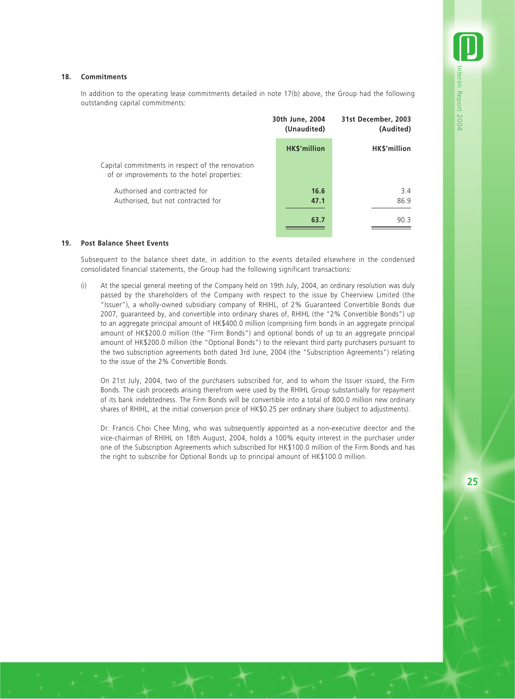#### **18. Commitments**

In addition to the operating lease commitments detailed in note 17(b) above, the Group had the following outstanding capital commitments:

|                                                                                                 | 30th June, 2004<br>(Unaudited) |                     | 31st December, 2003<br>(Audited) |             |
|-------------------------------------------------------------------------------------------------|--------------------------------|---------------------|----------------------------------|-------------|
|                                                                                                 |                                | <b>HK\$'million</b> | HK\$'million                     |             |
| Capital commitments in respect of the renovation<br>of or improvements to the hotel properties: |                                |                     |                                  |             |
| Authorised and contracted for<br>Authorised, but not contracted for                             |                                | 16.6<br>47.1        |                                  | 3.4<br>86.9 |
|                                                                                                 |                                | 63.7                |                                  | 90.3        |

#### **19. Post Balance Sheet Events**

Subsequent to the balance sheet date, in addition to the events detailed elsewhere in the condensed consolidated financial statements, the Group had the following significant transactions:

(i) At the special general meeting of the Company held on 19th July, 2004, an ordinary resolution was duly passed by the shareholders of the Company with respect to the issue by Cheerview Limited (the "Issuer"), a wholly-owned subsidiary company of RHIHL, of 2% Guaranteed Convertible Bonds due 2007, guaranteed by, and convertible into ordinary shares of, RHIHL (the "2% Convertible Bonds") up to an aggregate principal amount of HK\$400.0 million (comprising firm bonds in an aggregate principal amount of HK\$200.0 million (the "Firm Bonds") and optional bonds of up to an aggregate principal amount of HK\$200.0 million (the "Optional Bonds") to the relevant third party purchasers pursuant to the two subscription agreements both dated 3rd June, 2004 (the "Subscription Agreements") relating to the issue of the 2% Convertible Bonds.

On 21st July, 2004, two of the purchasers subscribed for, and to whom the Issuer issued, the Firm Bonds. The cash proceeds arising therefrom were used by the RHIHL Group substantially for repayment of its bank indebtedness. The Firm Bonds will be convertible into a total of 800.0 million new ordinary shares of RHIHL, at the initial conversion price of HK\$0.25 per ordinary share (subject to adjustments).

Dr. Francis Choi Chee Ming, who was subsequently appointed as a non-executive director and the vice-chairman of RHIHL on 18th August, 2004, holds a 100% equity interest in the purchaser under one of the Subscription Agreements which subscribed for HK\$100.0 million of the Firm Bonds and has the right to subscribe for Optional Bonds up to principal amount of HK\$100.0 million.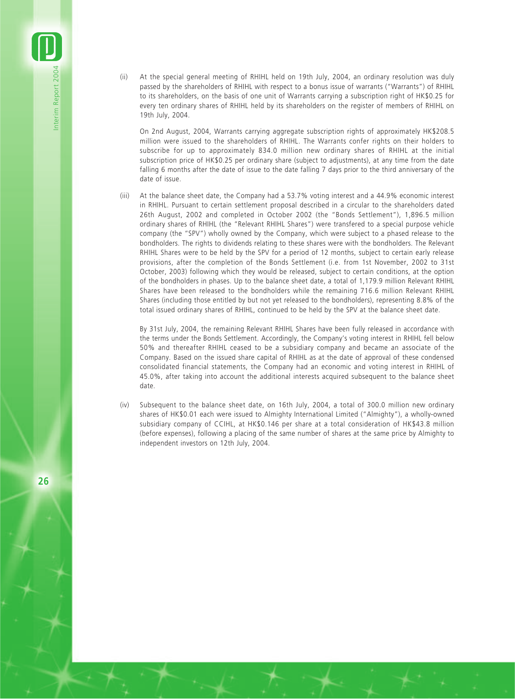(ii) At the special general meeting of RHIHL held on 19th July, 2004, an ordinary resolution was duly passed by the shareholders of RHIHL with respect to a bonus issue of warrants ("Warrants") of RHIHL to its shareholders, on the basis of one unit of Warrants carrying a subscription right of HK\$0.25 for every ten ordinary shares of RHIHL held by its shareholders on the register of members of RHIHL on 19th July, 2004.

On 2nd August, 2004, Warrants carrying aggregate subscription rights of approximately HK\$208.5 million were issued to the shareholders of RHIHL. The Warrants confer rights on their holders to subscribe for up to approximately 834.0 million new ordinary shares of RHIHL at the initial subscription price of HK\$0.25 per ordinary share (subject to adjustments), at any time from the date falling 6 months after the date of issue to the date falling 7 days prior to the third anniversary of the date of issue.

(iii) At the balance sheet date, the Company had a 53.7% voting interest and a 44.9% economic interest in RHIHL. Pursuant to certain settlement proposal described in a circular to the shareholders dated 26th August, 2002 and completed in October 2002 (the "Bonds Settlement"), 1,896.5 million ordinary shares of RHIHL (the "Relevant RHIHL Shares") were transfered to a special purpose vehicle company (the "SPV") wholly owned by the Company, which were subject to a phased release to the bondholders. The rights to dividends relating to these shares were with the bondholders. The Relevant RHIHL Shares were to be held by the SPV for a period of 12 months, subject to certain early release provisions, after the completion of the Bonds Settlement (i.e. from 1st November, 2002 to 31st October, 2003) following which they would be released, subject to certain conditions, at the option of the bondholders in phases. Up to the balance sheet date, a total of 1,179.9 million Relevant RHIHL Shares have been released to the bondholders while the remaining 716.6 million Relevant RHIHL Shares (including those entitled by but not yet released to the bondholders), representing 8.8% of the total issued ordinary shares of RHIHL, continued to be held by the SPV at the balance sheet date.

By 31st July, 2004, the remaining Relevant RHIHL Shares have been fully released in accordance with the terms under the Bonds Settlement. Accordingly, the Company's voting interest in RHIHL fell below 50% and thereafter RHIHL ceased to be a subsidiary company and became an associate of the Company. Based on the issued share capital of RHIHL as at the date of approval of these condensed consolidated financial statements, the Company had an economic and voting interest in RHIHL of 45.0%, after taking into account the additional interests acquired subsequent to the balance sheet date.

(iv) Subsequent to the balance sheet date, on 16th July, 2004, a total of 300.0 million new ordinary shares of HK\$0.01 each were issued to Almighty International Limited ("Almighty"), a wholly-owned subsidiary company of CCIHL, at HK\$0.146 per share at a total consideration of HK\$43.8 million (before expenses), following a placing of the same number of shares at the same price by Almighty to independent investors on 12th July, 2004.

**26**

Interim Report 2004

Interim Report 2004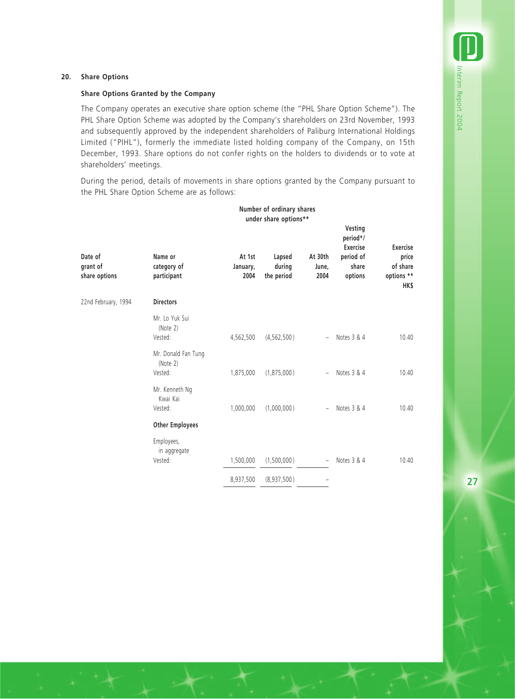#### **20. Share Options**

#### **Share Options Granted by the Company**

The Company operates an executive share option scheme (the "PHL Share Option Scheme"). The PHL Share Option Scheme was adopted by the Company's shareholders on 23rd November, 1993 and subsequently approved by the independent shareholders of Paliburg International Holdings Limited ("PIHL"), formerly the immediate listed holding company of the Company, on 15th December, 1993. Share options do not confer rights on the holders to dividends or to vote at shareholders' meetings.

During the period, details of movements in share options granted by the Company pursuant to the PHL Share Option Scheme are as follows:

|                                      | Number of ordinary shares<br>under share options** |                            |                                |                          |                                                                         |                                                                  |
|--------------------------------------|----------------------------------------------------|----------------------------|--------------------------------|--------------------------|-------------------------------------------------------------------------|------------------------------------------------------------------|
| Date of<br>grant of<br>share options | Name or<br>category of<br>participant              | At 1st<br>January,<br>2004 | Lapsed<br>during<br>the period | At 30th<br>June,<br>2004 | Vesting<br>period*/<br><b>Exercise</b><br>period of<br>share<br>options | <b>Exercise</b><br>price<br>of share<br>options **<br><b>HKS</b> |
| 22nd February, 1994                  | <b>Directors</b>                                   |                            |                                |                          |                                                                         |                                                                  |
|                                      | Mr. Lo Yuk Sui<br>(Note 2)<br>Vested:              | 4,562,500                  | (4, 562, 500)                  | $-$                      | Notes 3 & 4                                                             | 10.40                                                            |
|                                      | Mr. Donald Fan Tung<br>(Note 2)<br>Vested:         | 1,875,000                  | (1,875,000)                    | $\sim$                   | Notes 3 & 4                                                             | 10.40                                                            |
|                                      | Mr. Kenneth Ng<br>Kwai Kai<br>Vested:              | 1,000,000                  | (1,000,000)                    | $\overline{\phantom{0}}$ | Notes 3 & 4                                                             | 10.40                                                            |
|                                      | <b>Other Employees</b>                             |                            |                                |                          |                                                                         |                                                                  |
|                                      | Employees,<br>in aggregate<br>Vested:              | 1,500,000                  | (1,500,000)                    | $\sim$                   | Notes 3 & 4                                                             | 10.40                                                            |
|                                      |                                                    | 8,937,500                  | (8,937,500)                    |                          |                                                                         |                                                                  |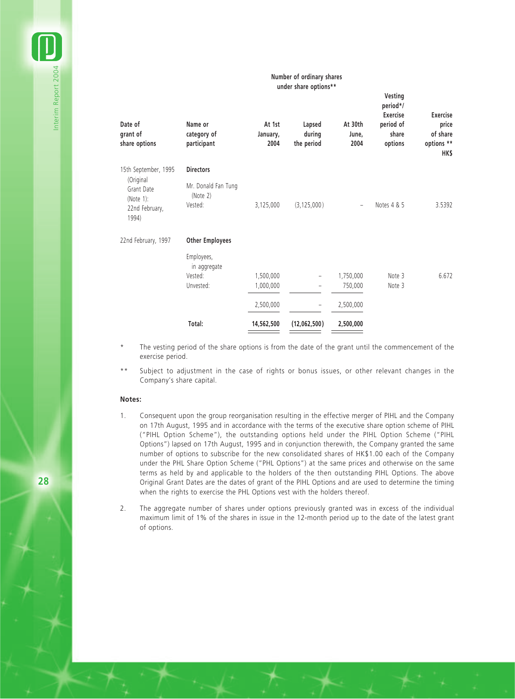#### **Number of ordinary shares under share options\*\***

| Date of<br>grant of<br>share options                               | Name or<br>category of<br>participant      | At 1st<br>January,<br>2004 | Lapsed<br>during<br>the period | At 30th<br>June,<br>2004 | Vesting<br>period*/<br><b>Exercise</b><br>period of<br>share<br>options | <b>Exercise</b><br>price<br>of share<br>options **<br>HK\$ |
|--------------------------------------------------------------------|--------------------------------------------|----------------------------|--------------------------------|--------------------------|-------------------------------------------------------------------------|------------------------------------------------------------|
| 15th September, 1995                                               | <b>Directors</b>                           |                            |                                |                          |                                                                         |                                                            |
| (Original<br>Grant Date<br>(Note $1$ ):<br>22nd February,<br>1994) | Mr. Donald Fan Tung<br>(Note 2)<br>Vested: | 3,125,000                  | (3, 125, 000)                  |                          | Notes 4 & 5                                                             | 3.5392                                                     |
| 22nd February, 1997                                                | <b>Other Employees</b>                     |                            |                                |                          |                                                                         |                                                            |
|                                                                    | Employees,<br>in aggregate                 |                            |                                |                          |                                                                         |                                                            |
|                                                                    | Vested:                                    | 1,500,000                  |                                | 1,750,000                | Note 3                                                                  | 6.672                                                      |
|                                                                    | Unvested:                                  | 1,000,000                  | $\overline{\phantom{0}}$       | 750,000                  | Note 3                                                                  |                                                            |
|                                                                    |                                            | 2,500,000                  |                                | 2,500,000                |                                                                         |                                                            |
|                                                                    | Total:                                     | 14,562,500                 | (12,062,500)                   | 2,500,000                |                                                                         |                                                            |

The vesting period of the share options is from the date of the grant until the commencement of the exercise period.

Subject to adjustment in the case of rights or bonus issues, or other relevant changes in the Company's share capital.

#### **Notes:**

- 1. Consequent upon the group reorganisation resulting in the effective merger of PIHL and the Company on 17th August, 1995 and in accordance with the terms of the executive share option scheme of PIHL ("PIHL Option Scheme"), the outstanding options held under the PIHL Option Scheme ("PIHL Options") lapsed on 17th August, 1995 and in conjunction therewith, the Company granted the same number of options to subscribe for the new consolidated shares of HK\$1.00 each of the Company under the PHL Share Option Scheme ("PHL Options") at the same prices and otherwise on the same terms as held by and applicable to the holders of the then outstanding PIHL Options. The above Original Grant Dates are the dates of grant of the PIHL Options and are used to determine the timing when the rights to exercise the PHL Options vest with the holders thereof.
- 2. The aggregate number of shares under options previously granted was in excess of the individual maximum limit of 1% of the shares in issue in the 12-month period up to the date of the latest grant of options.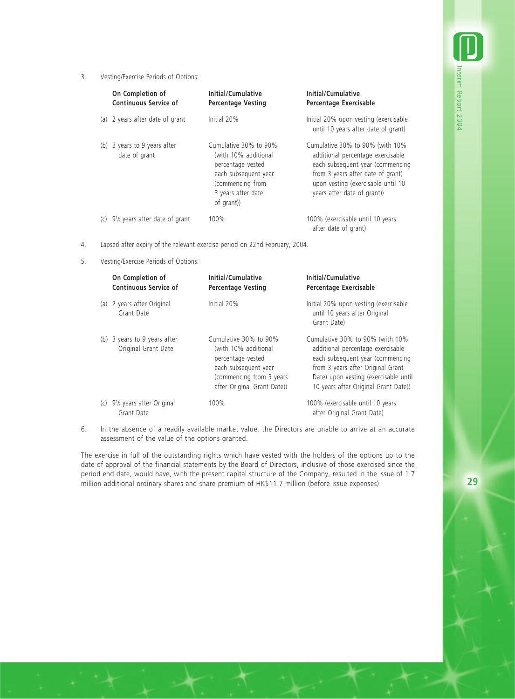3. Vesting/Exercise Periods of Options:

| On Completion of<br>Continuous Service of     | Initial/Cumulative<br><b>Percentage Vesting</b>                                                                                                   | Initial/Cumulative<br>Percentage Exercisable                                                                                                                                                                       |
|-----------------------------------------------|---------------------------------------------------------------------------------------------------------------------------------------------------|--------------------------------------------------------------------------------------------------------------------------------------------------------------------------------------------------------------------|
| (a) 2 years after date of grant               | Initial 20%                                                                                                                                       | Initial 20% upon vesting (exercisable<br>until 10 years after date of grant)                                                                                                                                       |
| (b) 3 years to 9 years after<br>date of grant | Cumulative 30% to 90%<br>(with 10% additional<br>percentage vested<br>each subsequent year<br>(commencing from<br>3 years after date<br>of grant) | Cumulative 30% to 90% (with 10%<br>additional percentage exercisable<br>each subsequent year (commencing<br>from 3 years after date of grant)<br>upon vesting (exercisable until 10<br>years after date of grant)) |
| $9\frac{1}{2}$ years after date of grant      | 100%                                                                                                                                              | 100% (exercisable until 10 years<br>after date of grant)                                                                                                                                                           |

4. Lapsed after expiry of the relevant exercise period on 22nd February, 2004.

5. Vesting/Exercise Periods of Options:

|     | On Completion of<br>Continuous Service of                        | Initial/Cumulative<br><b>Percentage Vesting</b>                                                                                                        | Initial/Cumulative<br>Percentage Exercisable                                                                                                                                                                                   |
|-----|------------------------------------------------------------------|--------------------------------------------------------------------------------------------------------------------------------------------------------|--------------------------------------------------------------------------------------------------------------------------------------------------------------------------------------------------------------------------------|
|     | (a) 2 years after Original<br>Grant Date                         | Initial 20%                                                                                                                                            | Initial 20% upon vesting (exercisable<br>until 10 years after Original<br>Grant Date)                                                                                                                                          |
|     | (b) 3 years to 9 years after<br>Original Grant Date              | Cumulative 30% to 90%<br>(with 10% additional<br>percentage vested<br>each subsequent year<br>(commencing from 3 years)<br>after Original Grant Date)) | Cumulative 30% to 90% (with 10%<br>additional percentage exercisable<br>each subsequent year (commencing<br>from 3 years after Original Grant<br>Date) upon vesting (exercisable until<br>10 years after Original Grant Date)) |
| (C) | 9 <sup>1</sup> / <sub>2</sub> years after Original<br>Grant Date | 100%                                                                                                                                                   | 100% (exercisable until 10 years<br>after Original Grant Date)                                                                                                                                                                 |

6. In the absence of a readily available market value, the Directors are unable to arrive at an accurate assessment of the value of the options granted.

The exercise in full of the outstanding rights which have vested with the holders of the options up to the date of approval of the financial statements by the Board of Directors, inclusive of those exercised since the period end date, would have, with the present capital structure of the Company, resulted in the issue of 1.7 million additional ordinary shares and share premium of HK\$11.7 million (before issue expenses).

Interim Report 2004

Interim Report 2004